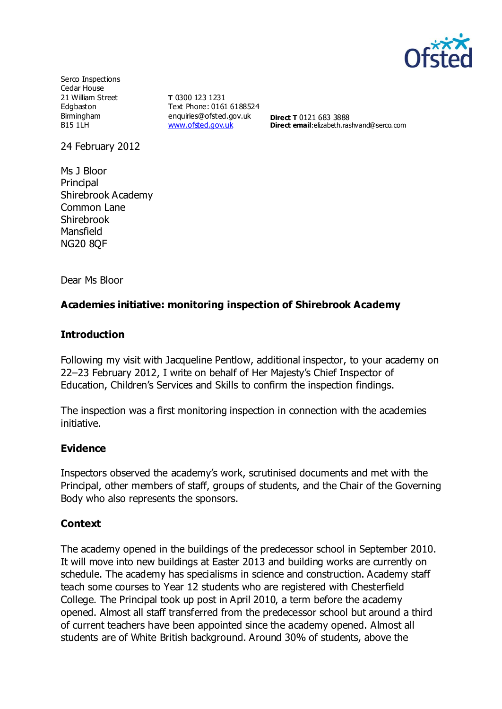

Serco Inspections Cedar House 21 William Street Edgbaston Birmingham B15 1LH

**T** 0300 123 1231 Text Phone: 0161 6188524 enquiries@ofsted.gov.uk [www.ofsted.gov.uk](http://www.ofsted.gov.uk/)

**Direct T** 0121 683 3888 **Direct email:**elizabeth.rashvand@serco.com

24 February 2012

Ms J Bloor **Principal** Shirebrook Academy Common Lane Shirebrook Mansfield NG20 8QF

Dear Ms Bloor

#### **Academies initiative: monitoring inspection of Shirebrook Academy**

#### **Introduction**

Following my visit with Jacqueline Pentlow, additional inspector, to your academy on 22–23 February 2012, I write on behalf of Her Majesty's Chief Inspector of Education, Children's Services and Skills to confirm the inspection findings.

The inspection was a first monitoring inspection in connection with the academies initiative.

#### **Evidence**

Inspectors observed the academy's work, scrutinised documents and met with the Principal, other members of staff, groups of students, and the Chair of the Governing Body who also represents the sponsors.

#### **Context**

The academy opened in the buildings of the predecessor school in September 2010. It will move into new buildings at Easter 2013 and building works are currently on schedule. The academy has specialisms in science and construction. Academy staff teach some courses to Year 12 students who are registered with Chesterfield College. The Principal took up post in April 2010, a term before the academy opened. Almost all staff transferred from the predecessor school but around a third of current teachers have been appointed since the academy opened. Almost all students are of White British background. Around 30% of students, above the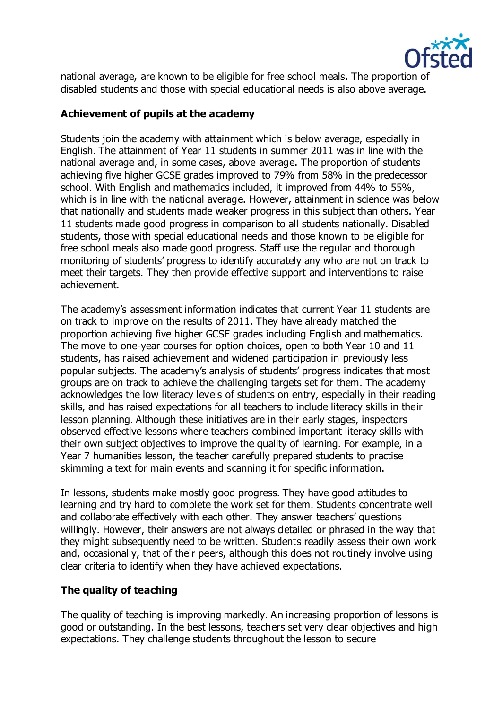

national average, are known to be eligible for free school meals. The proportion of disabled students and those with special educational needs is also above average.

#### **Achievement of pupils at the academy**

Students join the academy with attainment which is below average, especially in English. The attainment of Year 11 students in summer 2011 was in line with the national average and, in some cases, above average. The proportion of students achieving five higher GCSE grades improved to 79% from 58% in the predecessor school. With English and mathematics included, it improved from 44% to 55%, which is in line with the national average. However, attainment in science was below that nationally and students made weaker progress in this subject than others. Year 11 students made good progress in comparison to all students nationally. Disabled students, those with special educational needs and those known to be eligible for free school meals also made good progress. Staff use the regular and thorough monitoring of students' progress to identify accurately any who are not on track to meet their targets. They then provide effective support and interventions to raise achievement.

The academy's assessment information indicates that current Year 11 students are on track to improve on the results of 2011. They have already matched the proportion achieving five higher GCSE grades including English and mathematics. The move to one-year courses for option choices, open to both Year 10 and 11 students, has raised achievement and widened participation in previously less popular subjects. The academy's analysis of students' progress indicates that most groups are on track to achieve the challenging targets set for them. The academy acknowledges the low literacy levels of students on entry, especially in their reading skills, and has raised expectations for all teachers to include literacy skills in their lesson planning. Although these initiatives are in their early stages, inspectors observed effective lessons where teachers combined important literacy skills with their own subject objectives to improve the quality of learning. For example, in a Year 7 humanities lesson, the teacher carefully prepared students to practise skimming a text for main events and scanning it for specific information.

In lessons, students make mostly good progress. They have good attitudes to learning and try hard to complete the work set for them. Students concentrate well and collaborate effectively with each other. They answer teachers' questions willingly. However, their answers are not always detailed or phrased in the way that they might subsequently need to be written. Students readily assess their own work and, occasionally, that of their peers, although this does not routinely involve using clear criteria to identify when they have achieved expectations.

# **The quality of teaching**

The quality of teaching is improving markedly. An increasing proportion of lessons is good or outstanding. In the best lessons, teachers set very clear objectives and high expectations. They challenge students throughout the lesson to secure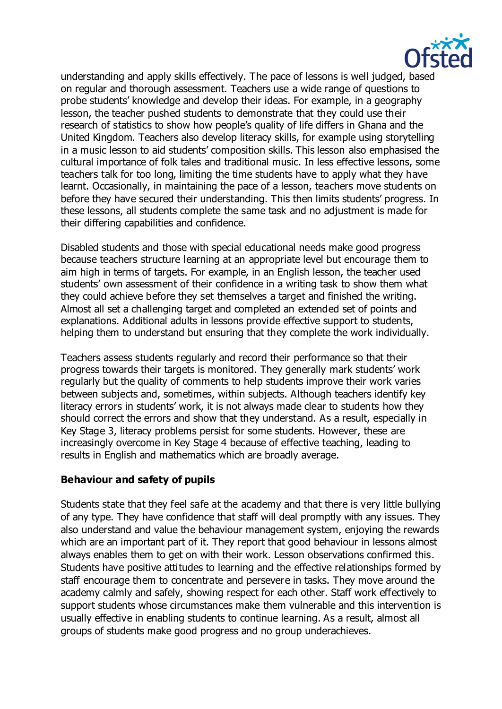

understanding and apply skills effectively. The pace of lessons is well judged, based on regular and thorough assessment. Teachers use a wide range of questions to probe students' knowledge and develop their ideas. For example, in a geography lesson, the teacher pushed students to demonstrate that they could use their research of statistics to show how people's quality of life differs in Ghana and the United Kingdom. Teachers also develop literacy skills, for example using storytelling in a music lesson to aid students' composition skills. This lesson also emphasised the cultural importance of folk tales and traditional music. In less effective lessons, some teachers talk for too long, limiting the time students have to apply what they have learnt. Occasionally, in maintaining the pace of a lesson, teachers move students on before they have secured their understanding. This then limits students' progress. In these lessons, all students complete the same task and no adjustment is made for their differing capabilities and confidence.

Disabled students and those with special educational needs make good progress because teachers structure learning at an appropriate level but encourage them to aim high in terms of targets. For example, in an English lesson, the teacher used students' own assessment of their confidence in a writing task to show them what they could achieve before they set themselves a target and finished the writing. Almost all set a challenging target and completed an extended set of points and explanations. Additional adults in lessons provide effective support to students, helping them to understand but ensuring that they complete the work individually.

Teachers assess students regularly and record their performance so that their progress towards their targets is monitored. They generally mark students' work regularly but the quality of comments to help students improve their work varies between subjects and, sometimes, within subjects. Although teachers identify key literacy errors in students' work, it is not always made clear to students how they should correct the errors and show that they understand. As a result, especially in Key Stage 3, literacy problems persist for some students. However, these are increasingly overcome in Key Stage 4 because of effective teaching, leading to results in English and mathematics which are broadly average.

#### **Behaviour and safety of pupils**

Students state that they feel safe at the academy and that there is very little bullying of any type. They have confidence that staff will deal promptly with any issues. They also understand and value the behaviour management system, enjoying the rewards which are an important part of it. They report that good behaviour in lessons almost always enables them to get on with their work. Lesson observations confirmed this. Students have positive attitudes to learning and the effective relationships formed by staff encourage them to concentrate and persevere in tasks. They move around the academy calmly and safely, showing respect for each other. Staff work effectively to support students whose circumstances make them vulnerable and this intervention is usually effective in enabling students to continue learning. As a result, almost all groups of students make good progress and no group underachieves.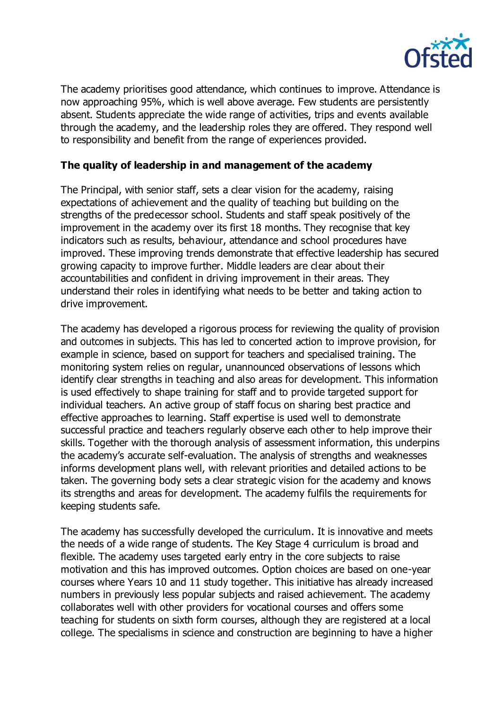

The academy prioritises good attendance, which continues to improve. Attendance is now approaching 95%, which is well above average. Few students are persistently absent. Students appreciate the wide range of activities, trips and events available through the academy, and the leadership roles they are offered. They respond well to responsibility and benefit from the range of experiences provided.

### **The quality of leadership in and management of the academy**

The Principal, with senior staff, sets a clear vision for the academy, raising expectations of achievement and the quality of teaching but building on the strengths of the predecessor school. Students and staff speak positively of the improvement in the academy over its first 18 months. They recognise that key indicators such as results, behaviour, attendance and school procedures have improved. These improving trends demonstrate that effective leadership has secured growing capacity to improve further. Middle leaders are clear about their accountabilities and confident in driving improvement in their areas. They understand their roles in identifying what needs to be better and taking action to drive improvement.

The academy has developed a rigorous process for reviewing the quality of provision and outcomes in subjects. This has led to concerted action to improve provision, for example in science, based on support for teachers and specialised training. The monitoring system relies on regular, unannounced observations of lessons which identify clear strengths in teaching and also areas for development. This information is used effectively to shape training for staff and to provide targeted support for individual teachers. An active group of staff focus on sharing best practice and effective approaches to learning. Staff expertise is used well to demonstrate successful practice and teachers regularly observe each other to help improve their skills. Together with the thorough analysis of assessment information, this underpins the academy's accurate self-evaluation. The analysis of strengths and weaknesses informs development plans well, with relevant priorities and detailed actions to be taken. The governing body sets a clear strategic vision for the academy and knows its strengths and areas for development. The academy fulfils the requirements for keeping students safe.

The academy has successfully developed the curriculum. It is innovative and meets the needs of a wide range of students. The Key Stage 4 curriculum is broad and flexible. The academy uses targeted early entry in the core subjects to raise motivation and this has improved outcomes. Option choices are based on one-year courses where Years 10 and 11 study together. This initiative has already increased numbers in previously less popular subjects and raised achievement. The academy collaborates well with other providers for vocational courses and offers some teaching for students on sixth form courses, although they are registered at a local college. The specialisms in science and construction are beginning to have a higher